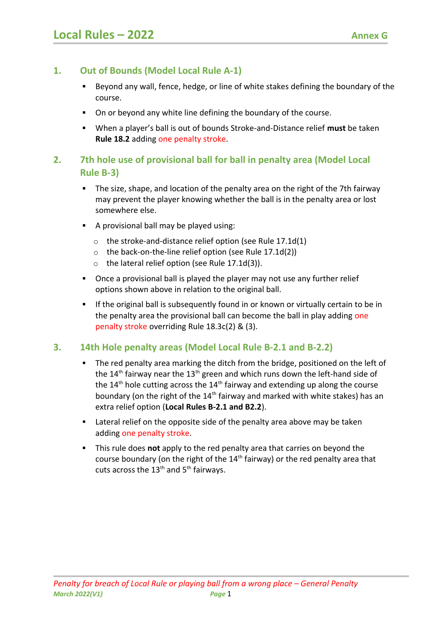# **1. Out of Bounds (Model Local Rule A-1)**

- Beyond any wall, fence, hedge, or line of white stakes defining the boundary of the course.
- On or beyond any white line defining the boundary of the course.
- When a player's ball is out of bounds Stroke-and-Distance relief **must** be taken **Rule 18.2** adding one penalty stroke.

# **2. 7th hole use of provisional ball for ball in penalty area (Model Local Rule B-3)**

- The size, shape, and location of the penalty area on the right of the 7th fairway may prevent the player knowing whether the ball is in the penalty area or lost somewhere else.
- A provisional ball may be played using:
	- o the stroke-and-distance relief option (see Rule 17.1d(1)
	- o the back-on-the-line relief option (see Rule 17.1d(2))
	- $\circ$  the lateral relief option (see Rule 17.1d(3)).
- Once a provisional ball is played the player may not use any further relief options shown above in relation to the original ball.
- **If the original ball is subsequently found in or known or virtually certain to be in** the penalty area the provisional ball can become the ball in play adding one penalty stroke overriding Rule 18.3c(2) & (3).

# **3. 14th Hole penalty areas (Model Local Rule B-2.1 and B-2.2)**

- The red penalty area marking the ditch from the bridge, positioned on the left of the  $14<sup>th</sup>$  fairway near the  $13<sup>th</sup>$  green and which runs down the left-hand side of the  $14<sup>th</sup>$  hole cutting across the  $14<sup>th</sup>$  fairway and extending up along the course boundary (on the right of the  $14<sup>th</sup>$  fairway and marked with white stakes) has an extra relief option (**Local Rules B-2.1 and B2.2**).
- **EXTER 1** Lateral relief on the opposite side of the penalty area above may be taken adding one penalty stroke.
- This rule does **not** apply to the red penalty area that carries on beyond the course boundary (on the right of the  $14<sup>th</sup>$  fairway) or the red penalty area that cuts across the  $13<sup>th</sup>$  and  $5<sup>th</sup>$  fairways.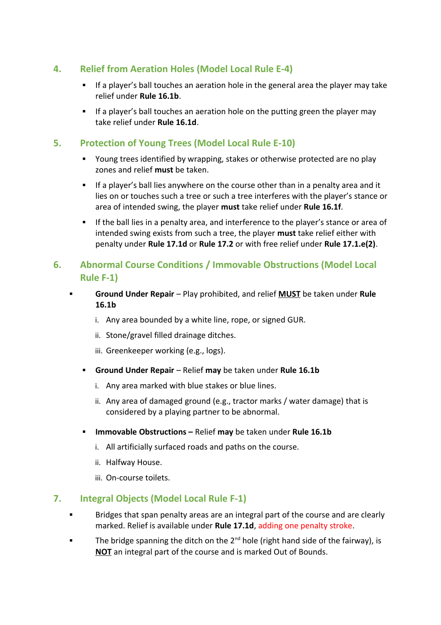### **4. Relief from Aeration Holes (Model Local Rule E-4)**

- If a player's ball touches an aeration hole in the general area the player may take relief under **Rule 16.1b**.
- If a player's ball touches an aeration hole on the putting green the player may take relief under **Rule 16.1d**.

#### **5. Protection of Young Trees (Model Local Rule E-10)**

- Young trees identified by wrapping, stakes or otherwise protected are no play zones and relief **must** be taken.
- If a player's ball lies anywhere on the course other than in a penalty area and it lies on or touches such a tree or such a tree interferes with the player's stance or area of intended swing, the player **must** take relief under **Rule 16.1f**.
- **If the ball lies in a penalty area, and interference to the player's stance or area of** intended swing exists from such a tree, the player **must** take relief either with penalty under **Rule 17.1d** or **Rule 17.2** or with free relief under **Rule 17.1.e(2)**.

# **6. Abnormal Course Conditions / Immovable Obstructions (Model Local Rule F-1)**

- **Ground Under Repair** Play prohibited, and relief **MUST** be taken under **Rule 16.1b**
	- i. Any area bounded by a white line, rope, or signed GUR.
	- ii. Stone/gravel filled drainage ditches.
	- iii. Greenkeeper working (e.g., logs).
	- **Ground Under Repair** Relief **may** be taken under **Rule 16.1b**
		- i. Any area marked with blue stakes or blue lines.
		- ii. Any area of damaged ground (e.g., tractor marks / water damage) that is considered by a playing partner to be abnormal.
	- **Immovable Obstructions Relief may** be taken under **Rule 16.1b** 
		- i. All artificially surfaced roads and paths on the course.
		- ii. Halfway House.
		- iii. On-course toilets.

#### **7. Integral Objects (Model Local Rule F-1)**

- Bridges that span penalty areas are an integral part of the course and are clearly marked. Relief is available under **Rule 17.1d**, adding one penalty stroke.
- The bridge spanning the ditch on the  $2^{nd}$  hole (right hand side of the fairway), is **NOT** an integral part of the course and is marked Out of Bounds.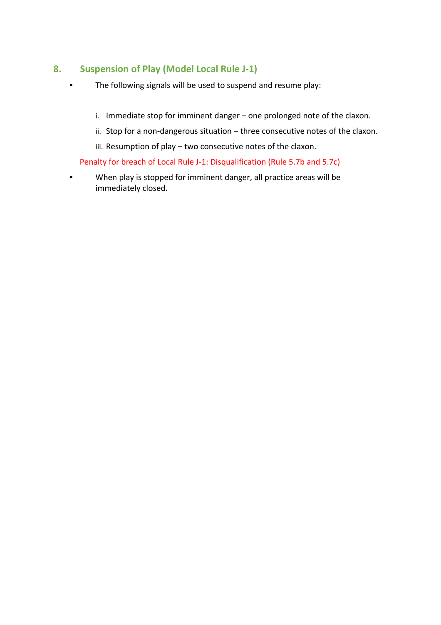#### **8. Suspension of Play (Model Local Rule J-1)**

- The following signals will be used to suspend and resume play:
	- i. Immediate stop for imminent danger one prolonged note of the claxon.
	- ii. Stop for a non-dangerous situation three consecutive notes of the claxon.
	- iii. Resumption of play two consecutive notes of the claxon.

#### Penalty for breach of Local Rule J-1: Disqualification (Rule 5.7b and 5.7c)

**When play is stopped for imminent danger, all practice areas will be** immediately closed.